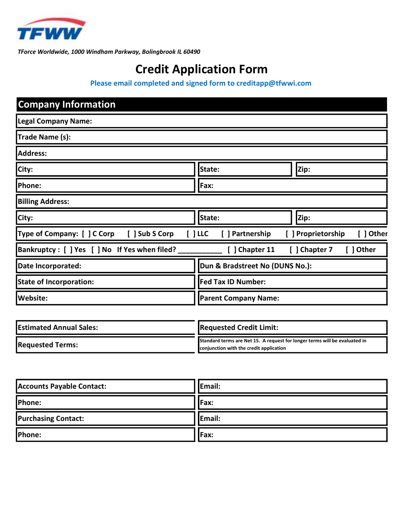

TForce Worldwide, 1000 Windham Parkway, Bolingbrook IL 60490

# Credit Application Form

Please email completed and signed form to creditapp@tfwwi.com

| <b>Company Information</b>                    |                                 |                                |
|-----------------------------------------------|---------------------------------|--------------------------------|
| <b>Legal Company Name:</b>                    |                                 |                                |
| Trade Name (s):                               |                                 |                                |
| <b>Address:</b>                               |                                 |                                |
| City:                                         | Zip:<br>State:                  |                                |
| Phone:                                        | Fax:                            |                                |
| <b>Billing Address:</b>                       |                                 |                                |
| City:                                         | State:                          | Zip:                           |
| Type of Company: [ ] C Corp<br>[ ] Sub S Corp | $[$ ] LLC<br>[ ] Partnership    | [ ] Other<br>[] Proprietorship |
| Bankruptcy: [ ] Yes [ ] No If Yes when filed? | Chapter 11<br>- 1               | [ ] Chapter 7<br>Other         |
| Date Incorporated:                            | Dun & Bradstreet No (DUNS No.): |                                |
| <b>State of Incorporation:</b>                | <b>Fed Tax ID Number:</b>       |                                |
| <b>Website:</b>                               | <b>Parent Company Name:</b>     |                                |

| <b>IEstimated Annual Sales:</b> | <b>Requested Credit Limit:</b>                                                                                        |
|---------------------------------|-----------------------------------------------------------------------------------------------------------------------|
| <b>Requested Terms:</b>         | Standard terms are Net 15. A request for longer terms will be evaluated in<br>conjunction with the credit application |

| <b>Accounts Payable Contact:</b> | Email: |
|----------------------------------|--------|
| Phone:                           | Fax:   |
| <b>Purchasing Contact:</b>       | Email: |
| Phone:                           | Fax:   |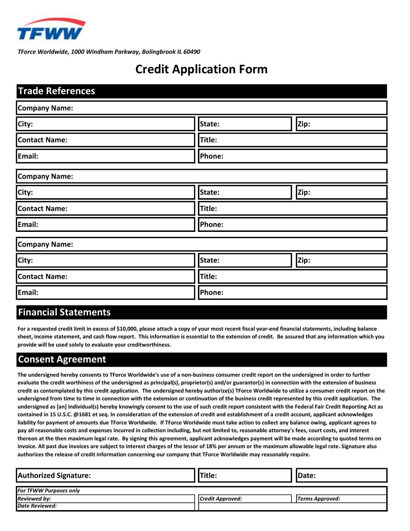

TForce Worldwide, 1000 Windham Parkway, Bolingbrook IL 60490

### Credit Application Form

| <b>Trade References</b> |        |      |  |  |
|-------------------------|--------|------|--|--|
| <b>Company Name:</b>    |        |      |  |  |
| City:                   | State: | Zip: |  |  |
| <b>Contact Name:</b>    | Title: |      |  |  |
| Email:                  | Phone: |      |  |  |
| <b>Company Name:</b>    |        |      |  |  |
| City:                   | State: | Zip: |  |  |
| <b>Contact Name:</b>    | Title: |      |  |  |
| Email:                  | Phone: |      |  |  |
| <b>Company Name:</b>    |        |      |  |  |
| City:                   | State: | Zip: |  |  |
| <b>Contact Name:</b>    | Title: |      |  |  |
| Email:                  | Phone: |      |  |  |

#### Financial Statements

For a requested credit limit in excess of \$10,000, please attach a copy of your most recent fiscal year-end financial statements, including balance sheet, income statement, and cash flow report. This information is essential to the extension of credit. Be assured that any information which you provide will be used solely to evaluate your creditworthiness.

#### Consent Agreement

The undersigned hereby consents to TForce Worldwide's use of a non-business consumer credit report on the undersigned in order to further evaluate the credit worthiness of the undersigned as principal(s), proprietor(s) and/or guarantor(s) in connection with the extension of business credit as contemplated by this credit application. The undersigned hereby authorize(s) TForce Worldwide to utilize a consumer credit report on the undersigned from time to time in connection with the extension or continuation of the business credit represented by this credit application. The undersigned as [an] individual(s) hereby knowingly consent to the use of such credit report consistent with the Federal Fair Credit Reporting Act as contained in 15 U.S.C. @1681 et seq. In consideration of the extension of credit and establishment of a credit account, applicant acknowledges liability for payment of amounts due TForce Worldwide. If TForce Worldwide must take action to collect any balance owing, applicant agrees to pay all reasonable costs and expenses incurred in collection including, but not limited to, reasonable attorney's fees, court costs, and interest thereon at the then maximum legal rate. By signing this agreement, applicant acknowledges payment will be made according to quoted terms on invoice. All past due invoices are subject to interest charges of the lessor of 18% per annum or the maximum allowable legal rate. Signature also authorizes the release of credit information concerning our company that TForce Worldwide may reasonably require.

| <b>Authorized Signature:</b>  | Title:           | <b>IDate:</b>          |
|-------------------------------|------------------|------------------------|
| <b>For TFWW Purposes only</b> |                  |                        |
| <b>Reviewed by:</b>           | Credit Approved: | <b>Terms Approved:</b> |
| <b>Date Reviewed:</b>         |                  |                        |